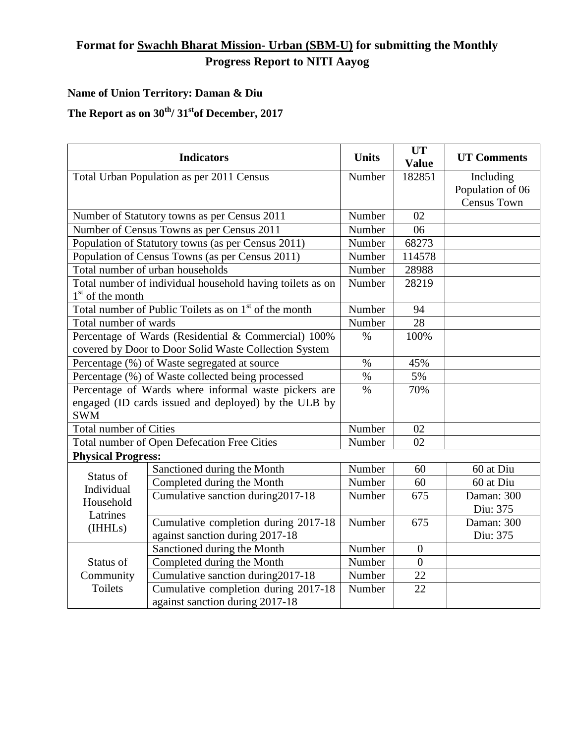## **Format for Swachh Bharat Mission- Urban (SBM-U) for submitting the Monthly Progress Report to NITI Aayog**

## **Name of Union Territory: Daman & Diu**

## The Report as on  $30^{th}$ /  $31^{st}$ of December, 2017

| <b>Indicators</b>                                                 |                                      | <b>Units</b>    | <b>UT</b><br><b>Value</b> | <b>UT Comments</b> |
|-------------------------------------------------------------------|--------------------------------------|-----------------|---------------------------|--------------------|
| Total Urban Population as per 2011 Census                         |                                      | Number          | 182851                    | Including          |
|                                                                   |                                      |                 |                           | Population of 06   |
|                                                                   |                                      |                 |                           | <b>Census Town</b> |
| Number of Statutory towns as per Census 2011                      |                                      | Number          | 02                        |                    |
| Number of Census Towns as per Census 2011                         |                                      | Number          | 06                        |                    |
| Population of Statutory towns (as per Census 2011)                |                                      | Number          | 68273                     |                    |
| Population of Census Towns (as per Census 2011)                   |                                      | Number          | 114578                    |                    |
| Total number of urban households                                  |                                      | Number          | 28988                     |                    |
| Total number of individual household having toilets as on         |                                      | Number          | 28219                     |                    |
| $1st$ of the month                                                |                                      |                 |                           |                    |
| Total number of Public Toilets as on 1 <sup>st</sup> of the month |                                      | Number          | 94                        |                    |
| Total number of wards                                             |                                      | Number          | 28                        |                    |
| Percentage of Wards (Residential & Commercial) 100%               |                                      | $\%$            | 100%                      |                    |
| covered by Door to Door Solid Waste Collection System             |                                      |                 |                           |                    |
| Percentage (%) of Waste segregated at source                      |                                      | $\%$            | 45%                       |                    |
| Percentage (%) of Waste collected being processed                 |                                      | $\overline{\%}$ | 5%                        |                    |
| Percentage of Wards where informal waste pickers are              |                                      | $\%$            | 70%                       |                    |
| engaged (ID cards issued and deployed) by the ULB by              |                                      |                 |                           |                    |
| <b>SWM</b>                                                        |                                      |                 |                           |                    |
| <b>Total number of Cities</b>                                     |                                      | Number          | 02                        |                    |
| Total number of Open Defecation Free Cities                       |                                      | Number          | 02                        |                    |
| <b>Physical Progress:</b>                                         |                                      |                 |                           |                    |
| Status of<br>Individual<br>Household<br>Latrines<br>(IHHLs)       | Sanctioned during the Month          | Number          | 60                        | 60 at Diu          |
|                                                                   | Completed during the Month           | Number          | 60                        | 60 at Diu          |
|                                                                   | Cumulative sanction during 2017-18   | Number          | 675                       | Daman: 300         |
|                                                                   |                                      |                 |                           | Diu: 375           |
|                                                                   | Cumulative completion during 2017-18 | Number          | 675                       | Daman: 300         |
|                                                                   | against sanction during 2017-18      |                 |                           | Diu: 375           |
| Status of<br>Community<br><b>Toilets</b>                          | Sanctioned during the Month          | Number          | $\boldsymbol{0}$          |                    |
|                                                                   | Completed during the Month           | Number          | $\overline{0}$            |                    |
|                                                                   | Cumulative sanction during 2017-18   | Number          | 22                        |                    |
|                                                                   | Cumulative completion during 2017-18 | Number          | 22                        |                    |
|                                                                   | against sanction during 2017-18      |                 |                           |                    |